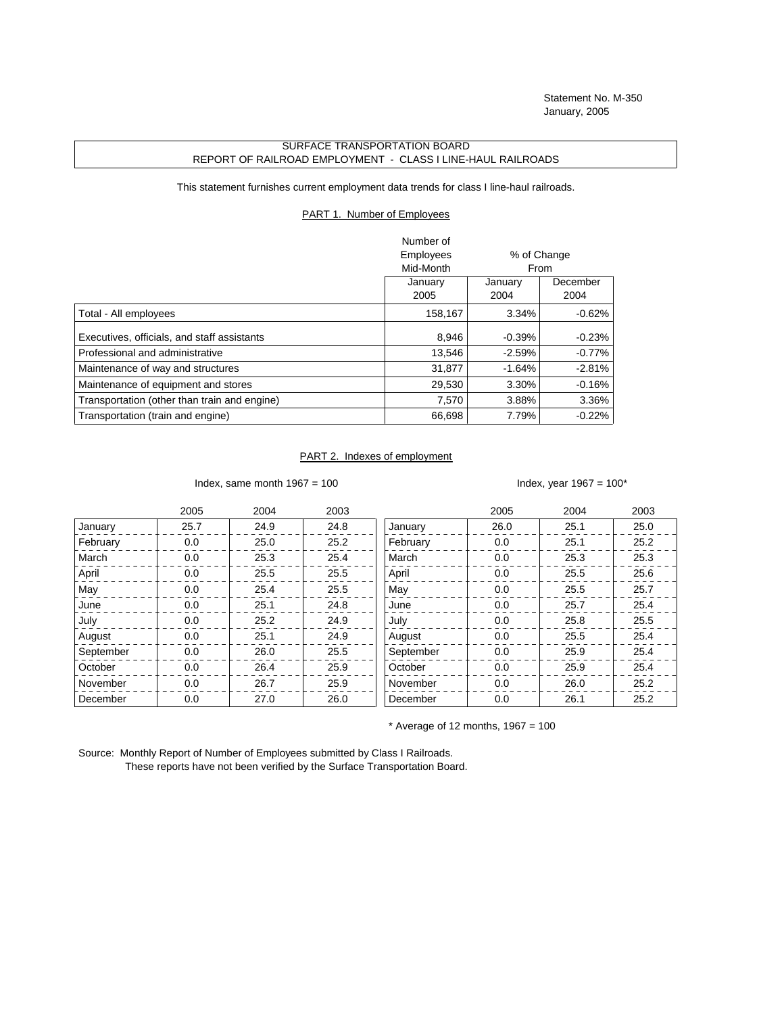## SURFACE TRANSPORTATION BOARD REPORT OF RAILROAD EMPLOYMENT - CLASS I LINE-HAUL RAILROADS

This statement furnishes current employment data trends for class I line-haul railroads.

## PART 1. Number of Employees

|                                              | Number of |                     |          |  |
|----------------------------------------------|-----------|---------------------|----------|--|
|                                              | Employees | % of Change         |          |  |
|                                              | Mid-Month | From                |          |  |
|                                              | January   | December<br>January |          |  |
|                                              | 2005      | 2004                | 2004     |  |
| Total - All employees                        | 158,167   | 3.34%               | $-0.62%$ |  |
| Executives, officials, and staff assistants  | 8,946     | $-0.39%$            | $-0.23%$ |  |
| Professional and administrative              | 13,546    | $-2.59%$            | $-0.77%$ |  |
| Maintenance of way and structures            | 31,877    | $-1.64%$            | $-2.81%$ |  |
| Maintenance of equipment and stores          | 29,530    | 3.30%               | $-0.16%$ |  |
| Transportation (other than train and engine) | 7,570     | 3.88%               | 3.36%    |  |
| Transportation (train and engine)            | 66,698    | 7.79%               | $-0.22%$ |  |

## PART 2. Indexes of employment

Index, same month  $1967 = 100$  Index, year  $1967 = 100*$ 

|           | 2005 | 2004 | 2003 |           | 2005 | 2004 | 2003 |
|-----------|------|------|------|-----------|------|------|------|
| January   | 25.7 | 24.9 | 24.8 | January   | 26.0 | 25.1 | 25.0 |
| February  | 0.0  | 25.0 | 25.2 | February  | 0.0  | 25.1 | 25.2 |
| March     | 0.0  | 25.3 | 25.4 | March     | 0.0  | 25.3 | 25.3 |
| April     | 0.0  | 25.5 | 25.5 | April     | 0.0  | 25.5 | 25.6 |
| May       | 0.0  | 25.4 | 25.5 | May       | 0.0  | 25.5 | 25.7 |
| June      | 0.0  | 25.1 | 24.8 | June      | 0.0  | 25.7 | 25.4 |
| July      | 0.0  | 25.2 | 24.9 | July      | 0.0  | 25.8 | 25.5 |
| August    | 0.0  | 25.1 | 24.9 | August    | 0.0  | 25.5 | 25.4 |
| September | 0.0  | 26.0 | 25.5 | September | 0.0  | 25.9 | 25.4 |
| October   | 0.0  | 26.4 | 25.9 | October   | 0.0  | 25.9 | 25.4 |
| November  | 0.0  | 26.7 | 25.9 | November  | 0.0  | 26.0 | 25.2 |
| December  | 0.0  | 27.0 | 26.0 | December  | 0.0  | 26.1 | 25.2 |

 $*$  Average of 12 months, 1967 = 100

Source: Monthly Report of Number of Employees submitted by Class I Railroads. These reports have not been verified by the Surface Transportation Board.